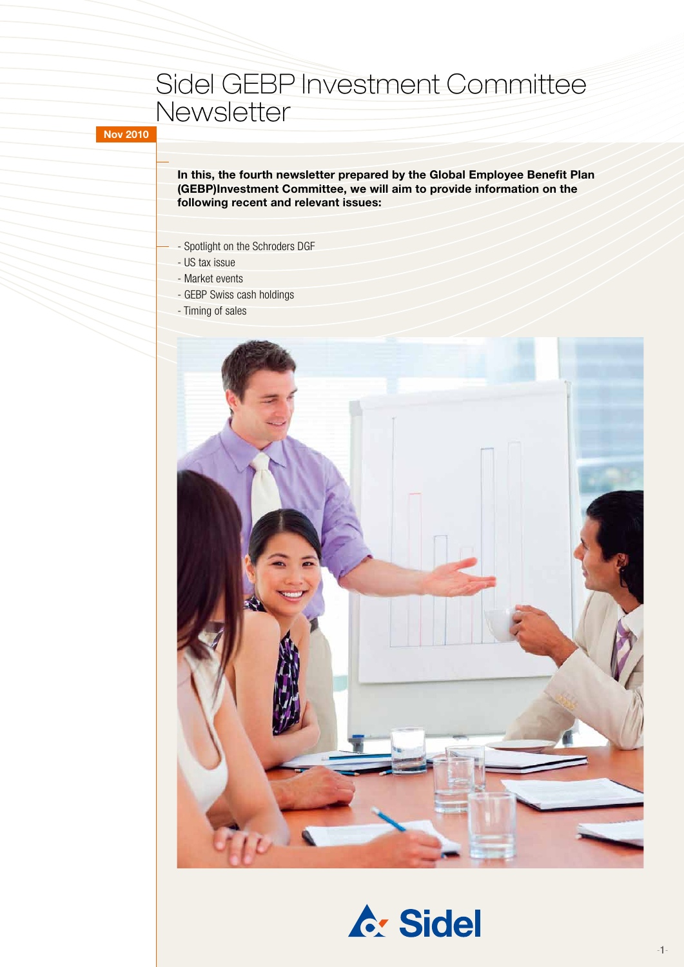# Sidel GEBP Investment Committee **Newsletter**

**Nov 2010**

**In this, the fourth newsletter prepared by the Global Employee Benefit Plan (GEBP)Investment Committee, we will aim to provide information on the following recent and relevant issues:**

- Spotlight on the Schroders DGF
- US tax issue
- Market events
- GEBP Swiss cash holdings
- Timing of sales



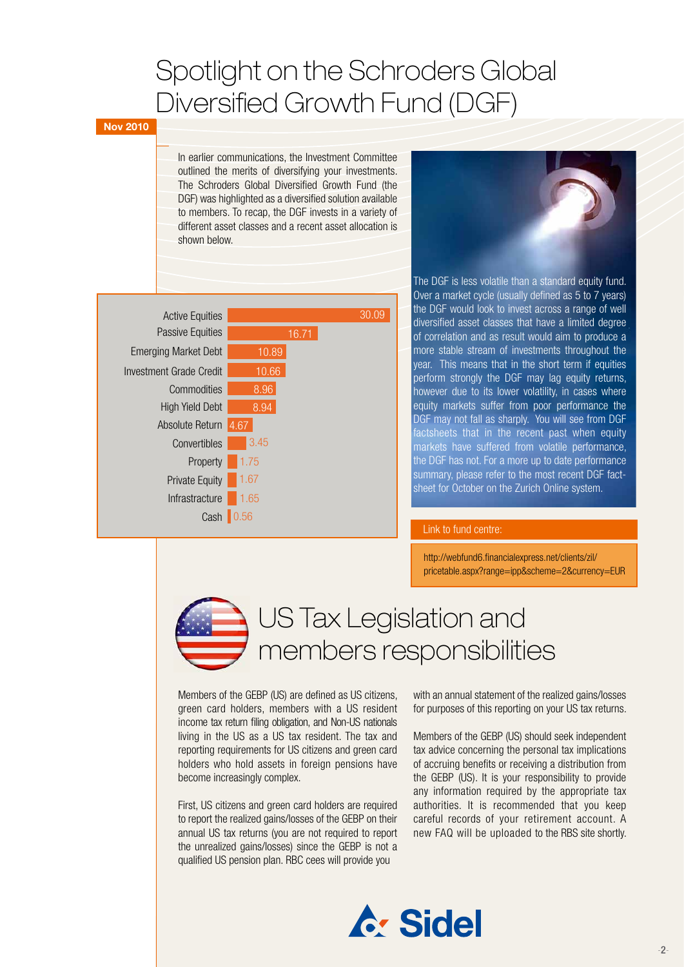# Spotlight on the Schroders Global Diversified Growth Fund (DGF)

### **Nov 2010**

In earlier communications, the Investment Committee outlined the merits of diversifying your investments. The Schroders Global Diversified Growth Fund (the DGF) was highlighted as a diversified solution available to members. To recap, the DGF invests in a variety of different asset classes and a recent asset allocation is shown below.





The DGF is less volatile than a standard equity fund. Over a market cycle (usually defined as 5 to 7 years) the DGF would look to invest across a range of well diversified asset classes that have a limited degree of correlation and as result would aim to produce a more stable stream of investments throughout the year. This means that in the short term if equities perform strongly the DGF may lag equity returns, however due to its lower volatility, in cases where equity markets suffer from poor performance the DGF may not fall as sharply. You will see from DGF factsheets that in the recent past when equity markets have suffered from volatile performance, the DGF has not. For a more up to date performance summary, please refer to the most recent DGF factsheet for October on the Zurich Online system.

### Link to fund centre:

http://webfund6.financialexpress.net/clients/zil/ pricetable.aspx?range=ipp&scheme=2&currency=EUR



Members of the GEBP (US) are defined as US citizens, green card holders, members with a US resident income tax return filing obligation, and Non-US nationals living in the US as a US tax resident. The tax and reporting requirements for US citizens and green card holders who hold assets in foreign pensions have become increasingly complex.

First, US citizens and green card holders are required to report the realized gains/losses of the GEBP on their annual US tax returns (you are not required to report the unrealized gains/losses) since the GEBP is not a qualified US pension plan. RBC cees will provide you

with an annual statement of the realized gains/losses for purposes of this reporting on your US tax returns.

Members of the GEBP (US) should seek independent tax advice concerning the personal tax implications of accruing benefits or receiving a distribution from the GEBP (US). It is your responsibility to provide any information required by the appropriate tax authorities. It is recommended that you keep careful records of your retirement account. A new FAQ will be uploaded to the RBS site shortly.

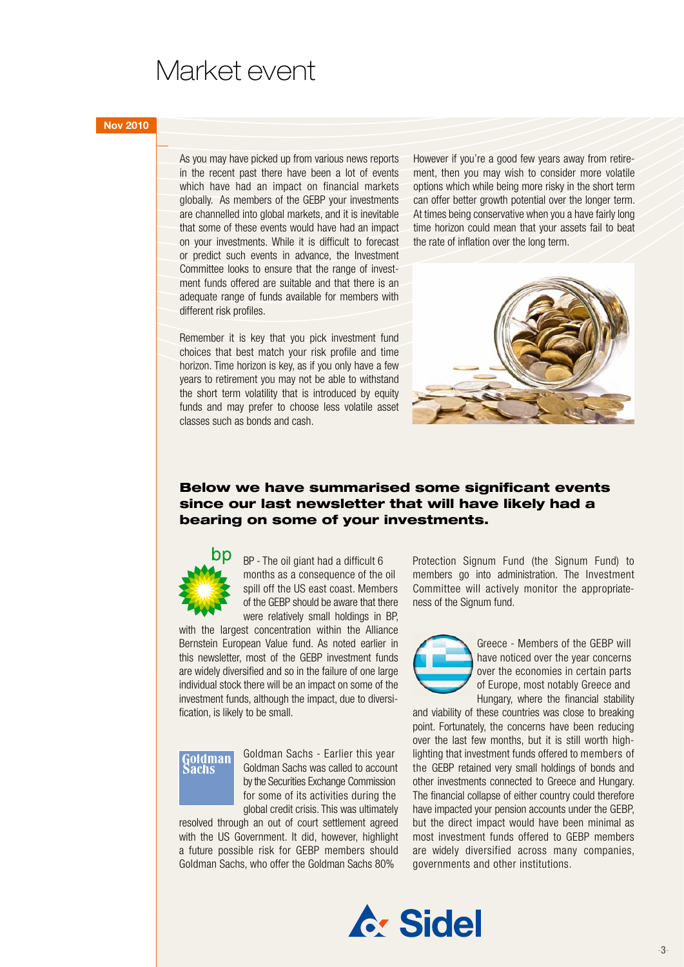## Market event

#### **Nov 2010**

As you may have picked up from various news reports in the recent past there have been a lot of events which have had an impact on financial markets globally. As members of the GEBP your investments are channelled into global markets, and it is inevitable that some of these events would have had an impact on your investments. While it is difficult to forecast or predict such events in advance, the Investment Committee looks to ensure that the range of investment funds offered are suitable and that there is an adequate range of funds available for members with different risk profiles.

Remember it is key that you pick investment fund choices that best match your risk profile and time horizon. Time horizon is key, as if you only have a few years to retirement you may not be able to withstand the short term volatility that is introduced by equity funds and may prefer to choose less volatile asset classes such as bonds and cash.

However if you're a good few years away from retirement, then you may wish to consider more volatile options which while being more risky in the short term can offer better growth potential over the longer term. At times being conservative when you a have fairly long time horizon could mean that your assets fail to beat the rate of inflation over the long term.



### Below we have summarised some significant events since our last newsletter that will have likely had a bearing on some of your investments.



BP - The oil giant had a difficult 6 months as a consequence of the oil spill off the US east coast. Members of the GEBP should be aware that there were relatively small holdings in BP,

with the largest concentration within the Alliance Bernstein European Value fund. As noted earlier in this newsletter, most of the GEBP investment funds are widely diversified and so in the failure of one large individual stock there will be an impact on some of the investment funds, although the impact, due to diversification, is likely to be small.

## Goldman achs

Goldman Sachs - Earlier this year Goldman Sachs was called to account by the Securities Exchange Commission for some of its activities during the global credit crisis. This was ultimately

resolved through an out of court settlement agreed with the US Government. It did, however, highlight a future possible risk for GEBP members should Goldman Sachs, who offer the Goldman Sachs 80%

Protection Signum Fund (the Signum Fund) to members go into administration. The Investment Committee will actively monitor the appropriateness of the Signum fund.



Greece - Members of the GEBP will have noticed over the year concerns over the economies in certain parts of Europe, most notably Greece and Hungary, where the financial stability

and viability of these countries was close to breaking point. Fortunately, the concerns have been reducing over the last few months, but it is still worth highlighting that investment funds offered to members of the GEBP retained very small holdings of bonds and other investments connected to Greece and Hungary. The financial collapse of either country could therefore have impacted your pension accounts under the GEBP, but the direct impact would have been minimal as most investment funds offered to GEBP members are widely diversified across many companies, governments and other institutions.

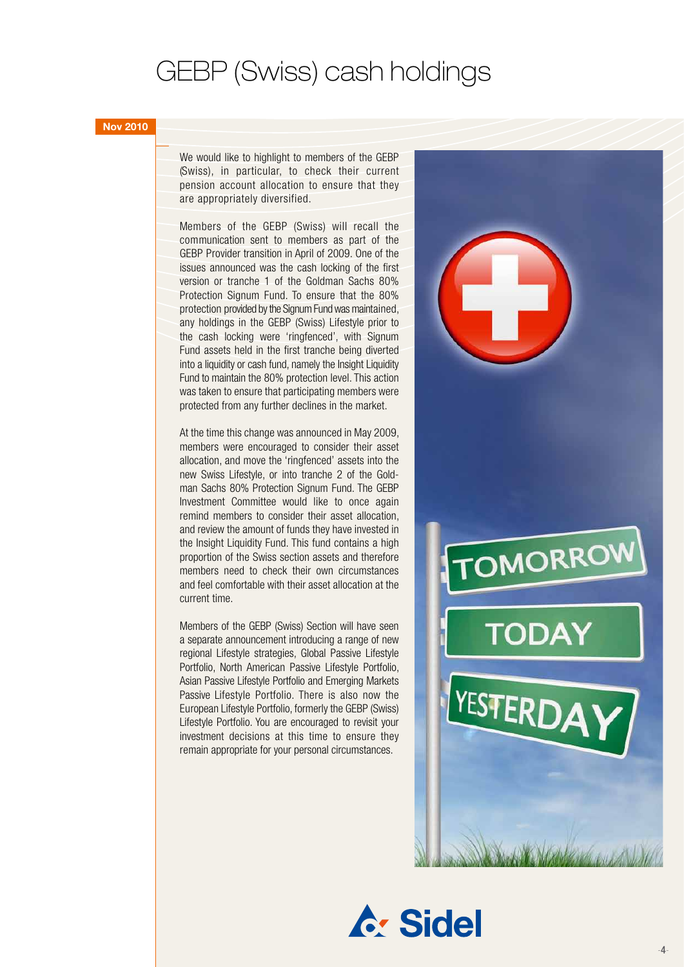# GEBP (Swiss) cash holdings

#### **Nov 2010**

We would like to highlight to members of the GEBP (Swiss), in particular, to check their current pension account allocation to ensure that they are appropriately diversified.

Members of the GEBP (Swiss) will recall the communication sent to members as part of the GEBP Provider transition in April of 2009. One of the issues announced was the cash locking of the first version or tranche 1 of the Goldman Sachs 80% Protection Signum Fund. To ensure that the 80% protection provided by the Signum Fund was maintained, any holdings in the GEBP (Swiss) Lifestyle prior to the cash locking were 'ringfenced', with Signum Fund assets held in the first tranche being diverted into a liquidity or cash fund, namely the Insight Liquidity Fund to maintain the 80% protection level. This action was taken to ensure that participating members were protected from any further declines in the market.

At the time this change was announced in May 2009, members were encouraged to consider their asset allocation, and move the 'ringfenced' assets into the new Swiss Lifestyle, or into tranche 2 of the Goldman Sachs 80% Protection Signum Fund. The GEBP Investment Committee would like to once again remind members to consider their asset allocation, and review the amount of funds they have invested in the Insight Liquidity Fund. This fund contains a high proportion of the Swiss section assets and therefore members need to check their own circumstances and feel comfortable with their asset allocation at the current time.

Members of the GEBP (Swiss) Section will have seen a separate announcement introducing a range of new regional Lifestyle strategies, Global Passive Lifestyle Portfolio, North American Passive Lifestyle Portfolio, Asian Passive Lifestyle Portfolio and Emerging Markets Passive Lifestyle Portfolio. There is also now the European Lifestyle Portfolio, formerly the GEBP (Swiss) Lifestyle Portfolio. You are encouraged to revisit your investment decisions at this time to ensure they remain appropriate for your personal circumstances.